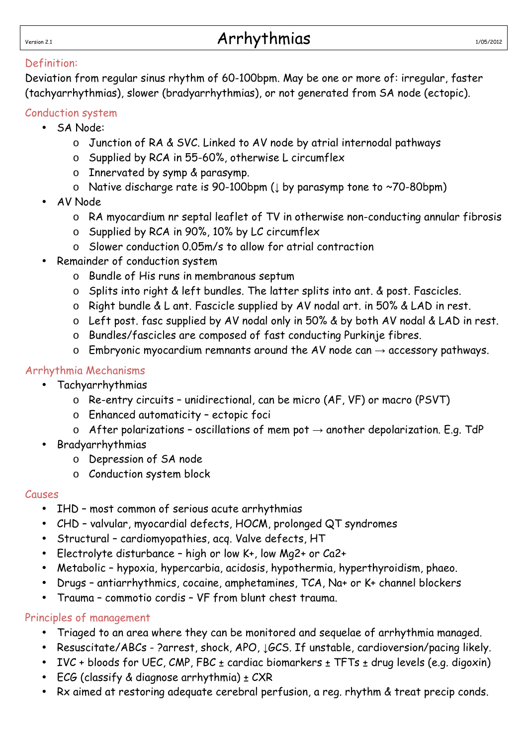#### Definition:

Deviation from regular sinus rhythm of 60-100bpm. May be one or more of: irregular, faster (tachyarrhythmias), slower (bradyarrhythmias), or not generated from SA node (ectopic).

#### Conduction system

- SA Node:
	- o Junction of RA & SVC. Linked to AV node by atrial internodal pathways
	- o Supplied by RCA in 55-60%, otherwise L circumflex
	- o Innervated by symp & parasymp.
	- o Native discharge rate is 90-100bpm (↓ by parasymp tone to ~70-80bpm)
- AV Node
	- o RA myocardium nr septal leaflet of TV in otherwise non-conducting annular fibrosis
	- o Supplied by RCA in 90%, 10% by LC circumflex
	- o Slower conduction 0.05m/s to allow for atrial contraction
- Remainder of conduction system
	- o Bundle of His runs in membranous septum
	- o Splits into right & left bundles. The latter splits into ant. & post. Fascicles.
	- o Right bundle & L ant. Fascicle supplied by AV nodal art. in 50% & LAD in rest.
	- o Left post. fasc supplied by AV nodal only in 50% & by both AV nodal & LAD in rest.
	- o Bundles/fascicles are composed of fast conducting Purkinje fibres.
	- $\circ$  Embryonic myocardium remnants around the AV node can  $\rightarrow$  accessory pathways.

#### Arrhythmia Mechanisms

- Tachyarrhythmias
	- o Re-entry circuits unidirectional, can be micro (AF, VF) or macro (PSVT)
	- o Enhanced automaticity ectopic foci
	- o After polarizations oscillations of mem pot  $\rightarrow$  another depolarization. E.g. TdP
- **Bradyarrhythmias** 
	- o Depression of SA node
	- o Conduction system block

#### Causes

- IHD most common of serious acute arrhythmias
- CHD valvular, myocardial defects, HOCM, prolonged QT syndromes
- Structural cardiomyopathies, acq. Valve defects, HT
- Electrolyte disturbance high or low K+, low Mg2+ or Ca2+
- Metabolic hypoxia, hypercarbia, acidosis, hypothermia, hyperthyroidism, phaeo.
- Drugs antiarrhythmics, cocaine, amphetamines, TCA, Na+ or K+ channel blockers
- Trauma commotio cordis VF from blunt chest trauma.

#### Principles of management

- Triaged to an area where they can be monitored and sequelae of arrhythmia managed.
- Resuscitate/ABCs ?arrest, shock, APO,  $\downarrow$  GCS. If unstable, cardioversion/pacing likely.
- IVC + bloods for UEC, CMP, FBC  $\pm$  cardiac biomarkers  $\pm$  TFTs  $\pm$  drug levels (e.g. digoxin)
- ECG (classify & diagnose arrhythmia)  $\pm$  CXR
- Rx aimed at restoring adequate cerebral perfusion, a reg. rhythm & treat precip conds.

# $N_{\text{ersion 2.1}}$  and  $N_{\text{V}}$  arrhythmias  $N_{\text{V}}$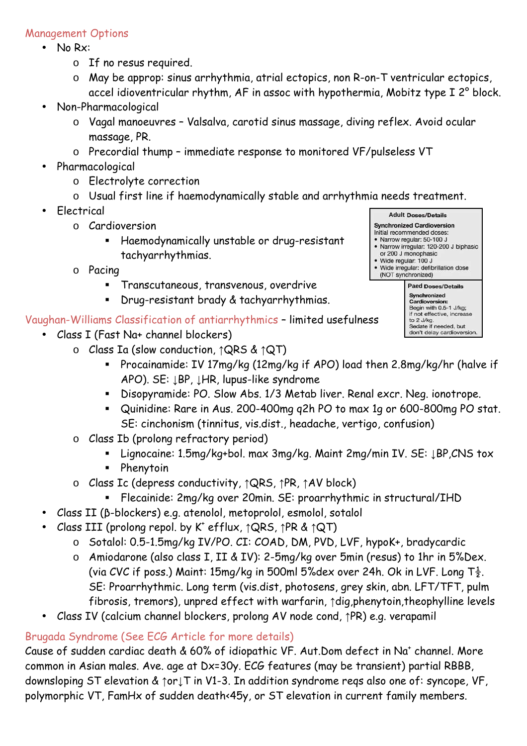#### Management Options

- No Rx:
	- o If no resus required.
	- o May be approp: sinus arrhythmia, atrial ectopics, non R-on-T ventricular ectopics, accel idioventricular rhythm, AF in assoc with hypothermia, Mobitz type I 2° block.
- Non-Pharmacological
	- o Vagal manoeuvres Valsalva, carotid sinus massage, diving reflex. Avoid ocular massage, PR.
	- o Precordial thump immediate response to monitored VF/pulseless VT
- **Pharmacological** 
	- o Electrolyte correction
	- o Usual first line if haemodynamically stable and arrhythmia needs treatment.
- Electrical
	- o Cardioversion
		- Haemodynamically unstable or drug-resistant tachyarrhythmias.
	- o Pacing
		- Transcutaneous, transvenous, overdrive
		- Drug-resistant brady & tachyarrhythmias.

Vaughan-Williams Classification of antiarrhythmics – limited usefulness

- Class I (Fast Na+ channel blockers)
	- o Class Ia (slow conduction, ↑QRS & ↑QT)

**Adult Doses/Details Synchronized Cardioversion** Initial recommended doses: · Narrow regular: 50-100 J · Narrow irregular: 120-200 J biphasic or 200 J monophasic · Wide regular: 100 J · Wide irregular: defibrillation dose (NOT synchronized) **Paed** Synchronized **Cardioversion:** 

Begin with 0.5-1 J/kg; if not effective, increase to 2 J/kg.<br>Sedate if needed, but don't delay cardioversion.

- Procainamide: IV 17mg/kg (12mg/kg if APO) load then 2.8mg/kg/hr (halve if APO). SE: ↓BP, ↓HR, lupus-like syndrome
- Disopyramide: PO. Slow Abs. 1/3 Metab liver. Renal excr. Neg. ionotrope.
- Quinidine: Rare in Aus. 200-400mg q2h PO to max 1g or 600-800mg PO stat. SE: cinchonism (tinnitus, vis.dist., headache, vertigo, confusion)
- o Class Ib (prolong refractory period)
	- Lignocaine: 1.5mg/kg+bol. max 3mg/kg. Maint 2mg/min IV. SE: LBP, CNS tox
	- Phenytoin
- o Class Ic (depress conductivity, ↑QRS, ↑PR, ↑AV block)
	- Flecainide: 2mg/kg over 20min. SE: proarrhythmic in structural/IHD
- Class II (β-blockers) e.g. atenolol, metoprolol, esmolol, sotalol
- Class III (prolong repol. by K<sup>+</sup> efflux,  $\uparrow$ QRS,  $\uparrow$ PR &  $\uparrow$ QT)
	- o Sotalol: 0.5-1.5mg/kg IV/PO. CI: COAD, DM, PVD, LVF, hypoK+, bradycardic
	- o Amiodarone (also class I, II & IV): 2-5mg/kg over 5min (resus) to 1hr in 5%Dex. (via CVC if poss.) Maint: 15mg/kg in 500ml 5%dex over 24h. Ok in LVF. Long  $T_{\frac{1}{2}}$ . SE: Proarrhythmic. Long term (vis.dist, photosens, grey skin, abn. LFT/TFT, pulm fibrosis, tremors), unpred effect with warfarin, ↑dig,phenytoin,theophylline levels
- Class IV (calcium channel blockers, prolong AV node cond, ↑PR) e.g. verapamil

### Brugada Syndrome (See ECG Article for more details)

Cause of sudden cardiac death & 60% of idiopathic VF. Aut.Dom defect in Na<sup>+</sup> channel. More common in Asian males. Ave. age at Dx=30y. ECG features (may be transient) partial RBBB, downsloping ST elevation & ↑or↓T in V1-3. In addition syndrome reqs also one of: syncope, VF, polymorphic VT, FamHx of sudden death<45y, or ST elevation in current family members.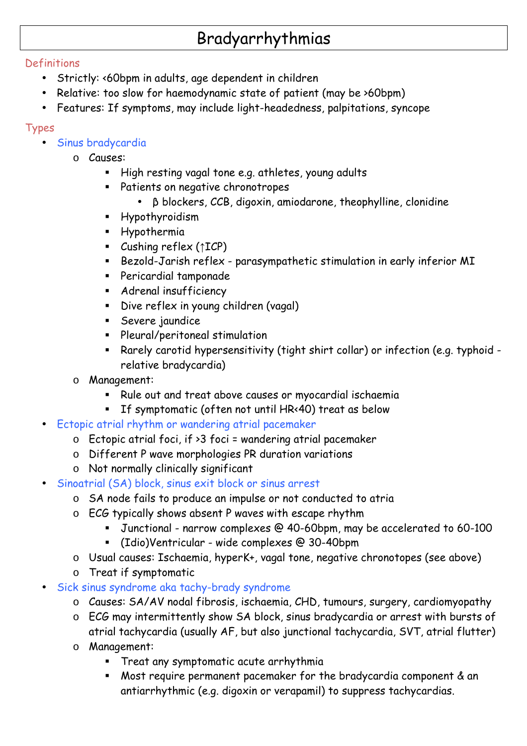# Bradyarrhythmias

### Definitions

- Strictly: <60bpm in adults, age dependent in children
- Relative: too slow for haemodynamic state of patient (may be >60bpm)
- Features: If symptoms, may include light-headedness, palpitations, syncope

# Types

- Sinus bradycardia
	- o Causes:
		- High resting vagal tone e.g. athletes, young adults
		- Patients on negative chronotropes
			- β blockers, CCB, digoxin, amiodarone, theophylline, clonidine
		- Hypothyroidism
		- **Hypothermia**
		- Cushing reflex (↑ICP)
		- Bezold-Jarish reflex parasympathetic stimulation in early inferior MI
		- Pericardial tamponade
		- **Adrenal insufficiency**
		- Dive reflex in young children (vagal)
		- **Severe jaundice**
		- **Pleural/peritoneal stimulation**
		- Rarely carotid hypersensitivity (tight shirt collar) or infection (e.g. typhoid relative bradycardia)
	- o Management:
		- Rule out and treat above causes or myocardial ischaemia
		- If symptomatic (often not until HR<40) treat as below
- Ectopic atrial rhythm or wandering atrial pacemaker
	- $\circ$  Ectopic atrial foci, if > 3 foci = wandering atrial pacemaker
	- o Different P wave morphologies PR duration variations
	- o Not normally clinically significant
- Sinoatrial (SA) block, sinus exit block or sinus arrest
	- o SA node fails to produce an impulse or not conducted to atria
	- o ECG typically shows absent P waves with escape rhythm
		- Junctional narrow complexes @ 40-60bpm, may be accelerated to 60-100
		- (Idio)Ventricular wide complexes @ 30-40bpm
	- o Usual causes: Ischaemia, hyperK+, vagal tone, negative chronotopes (see above)
	- o Treat if symptomatic
- Sick sinus syndrome aka tachy-brady syndrome
	- o Causes: SA/AV nodal fibrosis, ischaemia, CHD, tumours, surgery, cardiomyopathy
	- o ECG may intermittently show SA block, sinus bradycardia or arrest with bursts of atrial tachycardia (usually AF, but also junctional tachycardia, SVT, atrial flutter)
	- o Management:
		- Treat any symptomatic acute arrhythmia
		- Most require permanent pacemaker for the bradycardia component & an antiarrhythmic (e.g. digoxin or verapamil) to suppress tachycardias.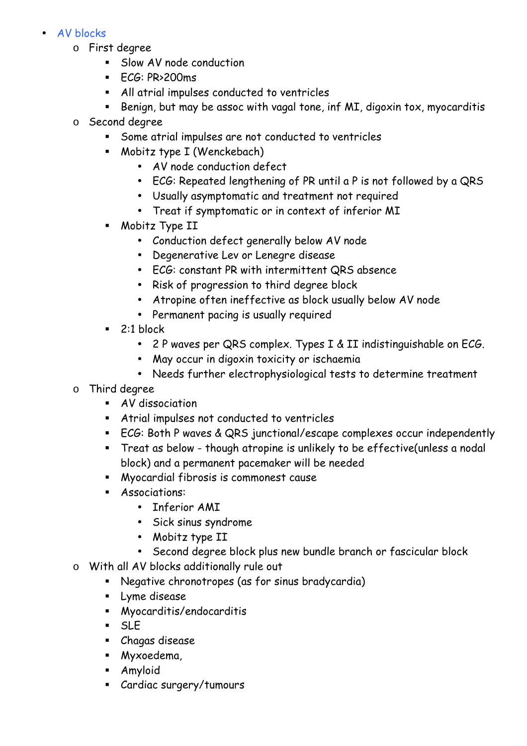#### • AV blocks

- o First degree
	- Slow AV node conduction
	- $FCG: PR<sub>2</sub>200ms$
	- All atrial impulses conducted to ventricles
	- Benign, but may be assoc with vagal tone, inf MI, digoxin tox, myocarditis
- o Second degree
	- Some atrial impulses are not conducted to ventricles
	- Mobitz type I (Wenckebach)
		- AV node conduction defect
		- ECG: Repeated lengthening of PR until a P is not followed by a QRS
		- Usually asymptomatic and treatment not required
		- Treat if symptomatic or in context of inferior MI
	- Mobitz Type II
		- Conduction defect generally below AV node
		- Degenerative Lev or Lenegre disease
		- ECG: constant PR with intermittent QRS absence
		- Risk of progression to third degree block
		- Atropine often ineffective as block usually below AV node
		- Permanent pacing is usually required
	- $\blacksquare$  2:1 block
		- 2 P waves per QRS complex. Types I & II indistinguishable on ECG.
		- May occur in digoxin toxicity or ischaemia
		- Needs further electrophysiological tests to determine treatment
- o Third degree
	- AV dissociation
	- Atrial impulses not conducted to ventricles
	- ECG: Both P waves & QRS junctional/escape complexes occur independently
	- Treat as below though atropine is unlikely to be effective(unless a nodal block) and a permanent pacemaker will be needed
	- Myocardial fibrosis is commonest cause
	- **Associations:** 
		- Inferior AMI
		- Sick sinus syndrome
		- Mobitz type II
		- Second degree block plus new bundle branch or fascicular block
- o With all AV blocks additionally rule out
	- Negative chronotropes (as for sinus bradycardia)
	- **Lyme disease**
	- Myocarditis/endocarditis
	- SLE
	- Chagas disease
	- Myxoedema,
	- Amyloid
	- Cardiac surgery/tumours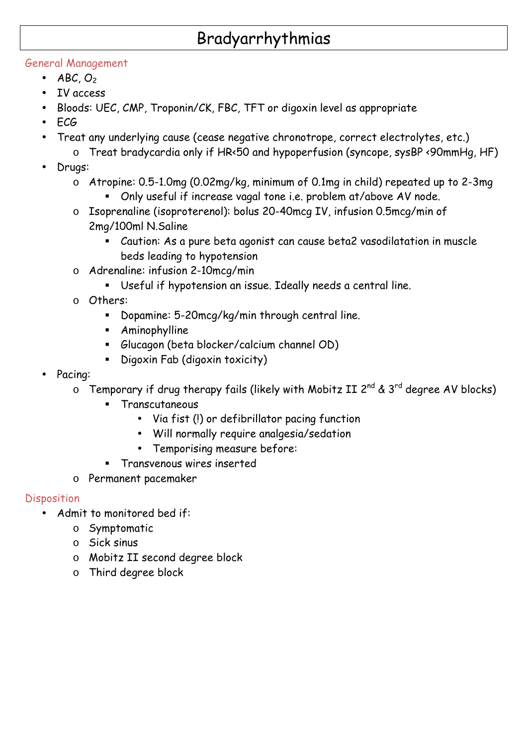# Bradyarrhythmias

### General Management

- $ABC, O<sub>2</sub>$
- IV access
- Bloods: UEC, CMP, Troponin/CK, FBC, TFT or digoxin level as appropriate
- ECG
- Treat any underlying cause (cease negative chronotrope, correct electrolytes, etc.)
	- o Treat bradycardia only if HR<50 and hypoperfusion (syncope, sysBP <90mmHg, HF)
- Drugs:
	- o Atropine: 0.5-1.0mg (0.02mg/kg, minimum of 0.1mg in child) repeated up to 2-3mg
		- Only useful if increase vagal tone i.e. problem at/above AV node.
	- o Isoprenaline (isoproterenol): bolus 20-40mcg IV, infusion 0.5mcg/min of 2mg/100ml N.Saline
		- Caution: As a pure beta agonist can cause beta2 vasodilatation in muscle beds leading to hypotension
	- o Adrenaline: infusion 2-10mcg/min
		- Useful if hypotension an issue. Ideally needs a central line.
	- o Others:
		- Dopamine: 5-20mcg/kg/min through central line.
		- Aminophylline
		- Glucagon (beta blocker/calcium channel OD)
		- Digoxin Fab (digoxin toxicity)
- Pacing:
	- $\circ$  Temporary if drug therapy fails (likely with Mobitz II 2<sup>nd</sup> & 3<sup>rd</sup> degree AV blocks)
		- Transcutaneous
			- Via fist (!) or defibrillator pacing function
			- Will normally require analgesia/sedation
			- Temporising measure before:
		- Transvenous wires inserted
	- o Permanent pacemaker

### Disposition

- Admit to monitored bed if:
	- o Symptomatic
	- o Sick sinus
	- o Mobitz II second degree block
	- o Third degree block